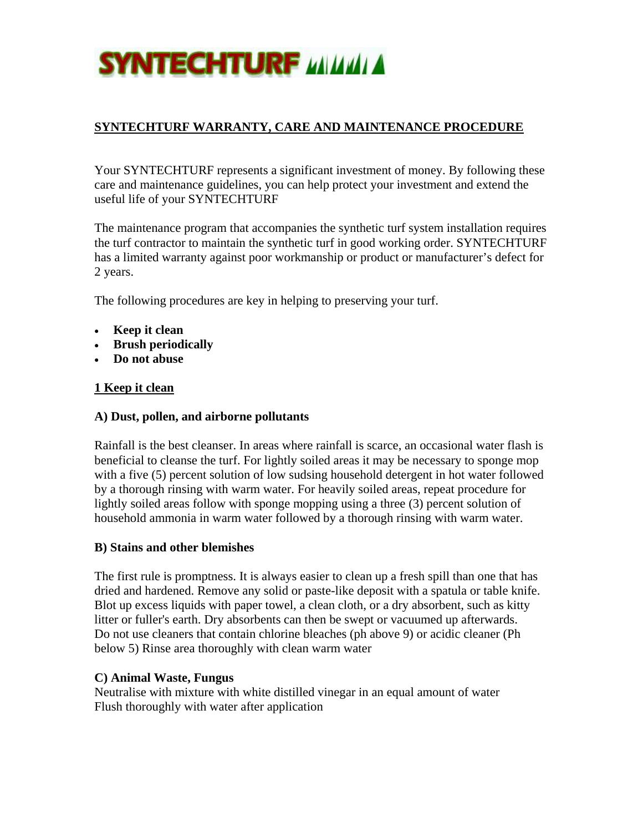

# **SYNTECHTURF WARRANTY, CARE AND MAINTENANCE PROCEDURE**

Your SYNTECHTURF represents a significant investment of money. By following these care and maintenance guidelines, you can help protect your investment and extend the useful life of your SYNTECHTURF

The maintenance program that accompanies the synthetic turf system installation requires the turf contractor to maintain the synthetic turf in good working order. SYNTECHTURF has a limited warranty against poor workmanship or product or manufacturer's defect for 2 years.

The following procedures are key in helping to preserving your turf.

- **Keep it clean**
- **Brush periodically**
- **Do not abuse**

#### **1 Keep it clean**

#### **A) Dust, pollen, and airborne pollutants**

Rainfall is the best cleanser. In areas where rainfall is scarce, an occasional water flash is beneficial to cleanse the turf. For lightly soiled areas it may be necessary to sponge mop with a five (5) percent solution of low sudsing household detergent in hot water followed by a thorough rinsing with warm water. For heavily soiled areas, repeat procedure for lightly soiled areas follow with sponge mopping using a three (3) percent solution of household ammonia in warm water followed by a thorough rinsing with warm water.

#### **B) Stains and other blemishes**

The first rule is promptness. It is always easier to clean up a fresh spill than one that has dried and hardened. Remove any solid or paste-like deposit with a spatula or table knife. Blot up excess liquids with paper towel, a clean cloth, or a dry absorbent, such as kitty litter or fuller's earth. Dry absorbents can then be swept or vacuumed up afterwards. Do not use cleaners that contain chlorine bleaches (ph above 9) or acidic cleaner (Ph below 5) Rinse area thoroughly with clean warm water

#### **C) Animal Waste, Fungus**

Neutralise with mixture with white distilled vinegar in an equal amount of water Flush thoroughly with water after application